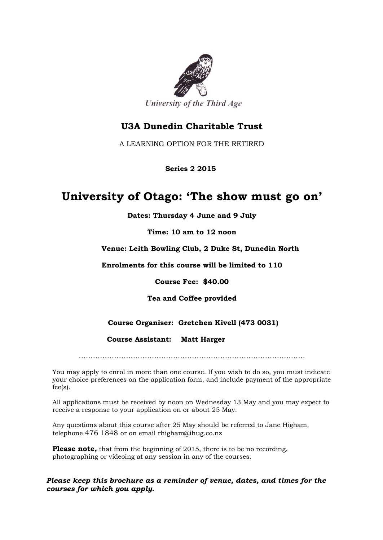

### **U3A Dunedin Charitable Trust**

A LEARNING OPTION FOR THE RETIRED

 **Series 2 2015**

## **University of Otago: 'The show must go on'**

**Dates: Thursday 4 June and 9 July**

**Time: 10 am to 12 noon**

#### **Venue: Leith Bowling Club, 2 Duke St, Dunedin North**

**Enrolments for this course will be limited to 110**

**Course Fee: \$40.00**

#### **Tea and Coffee provided**

#### **Course Organiser: Gretchen Kivell (473 0031)**

 **Course Assistant: Matt Harger** 

……………………………………………………………………………………

You may apply to enrol in more than one course. If you wish to do so, you must indicate your choice preferences on the application form, and include payment of the appropriate fee(s).

All applications must be received by noon on Wednesday 13 May and you may expect to receive a response to your application on or about 25 May.

Any questions about this course after 25 May should be referred to Jane Higham, telephone 476 1848 or on email rhigham@ihug.co.nz

**Please note,** that from the beginning of 2015, there is to be no recording, photographing or videoing at any session in any of the courses.

*Please keep this brochure as a reminder of venue, dates, and times for the courses for which you apply.*